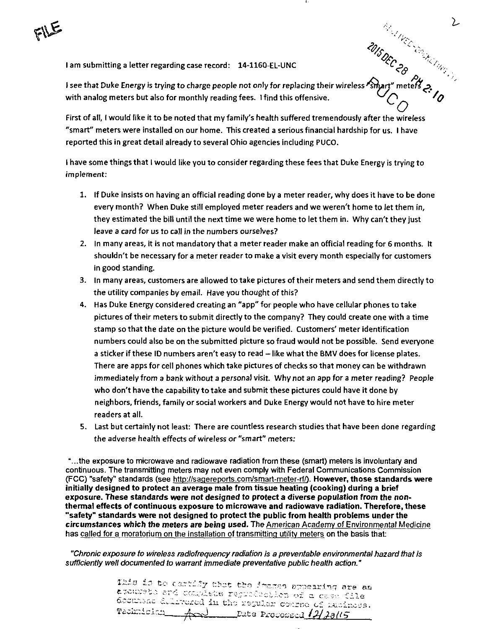lam submitting a letter regarding case record: 14-1160-EL-UNC ^P % ^ ^'^' -^. -

 $\mathcal{P}_{\mathcal{A}}$ 1 see that Duke Energy is trying to charge people not only for replacing their wireless ''smart" meteff'j>, with analog meters but also for monthly reading fees. 1 find this offensive.  $\bigcirc$   $\bigcirc$   $\bigcirc$ 

 $Q_{\perp}$ First of all, I would like it to be noted that my family's health suffered tremendously after the wireless "smart" meters were installed on our home. This created a serious financial hardship for us. I have reported this In great detail already to several Ohio agencies including PUCO.

I have some things that I would like you to consider regarding these fees that Duke Energy is trying to implement;

- 1. If Duke insists on having an official reading done by a meter reader, why does it have to be done every month? When Duke still employed meter readers and we weren't home to let them in, they estimated the bill until the next time we were home to let them in. Why can't they just leave a card for us to call in the numbers ourselves?
- 2. In many areas, it is not mandatory that a meter reader make an official reading for 6 months. It shouldn't be necessary for a meter reader to make a visit every month especially for customers in good standing.
- 3. In many areas, customers are allowed to take pictures of their meters and send them directly to the utility companies by email. Have you thought of this?
- 4. Has Duke Energy considered creating an "app" for people who have cellular phones to take pictures of their meters to submit directly to the company? They could create one with a time stamp so that the date on the picture would be verified. Customers' meter identification numbers could also be on the submitted picture so fraud would not be possible. Send everyone a sticker if these ID numbers aren't easy to read - like what the BMV does for license plates. There are apps for cell phones which take pictures of checks so that money can be withdrawn immediately from a bank without a personal visit. Why not an app for a meter reading? People who don't have the capability to take and submit these pictures could have it done by neighbors, friends, family or social workers and Duke Energy would not have to hire meter readers at all.
- 5. Last but certainly not least: There are countless research studies that have been done regarding the adverse health effects of wireless or "smart" meters:

"...the exposure to microwave and radiowave radiation from these (smart) meters is involuntary and continuous. The transmitting meters may not even comply with Federal Communications Commission (FCC) "safety" standards (see http://sagereports.com/smart-meter-rf/). However, those standards were initially designed to protect an average male from tissue heating (cooking) during a brief exposure. These standards were not designed to protect a diverse population from the nonthermal effects of continuous exposure to microwave and radiowave radiation. Therefore, these "safety" standards were not designed to protect the public from health problems under the circumstances which the meters are being used. The American Academy of Environmental Medicine has called for a moratorium on the installation of transmitting utility meters on the basis that:

"Chronic exposure to wireless radiofrequency radiation is a preventable environmental hazard that Is sufficiently well documented to warrant immediate preventative public health action."

> This is to certify that the indres appearing are an<br>excursts ard complete regraduction of a case file degunesse dilirenced in the regular course of muchaces. Technician  $\overline{A}$  $L$ 2dte Processed  $12/38/15$

 $\Sigma$ 

 $\prec_{\!\mathscr{O}}$